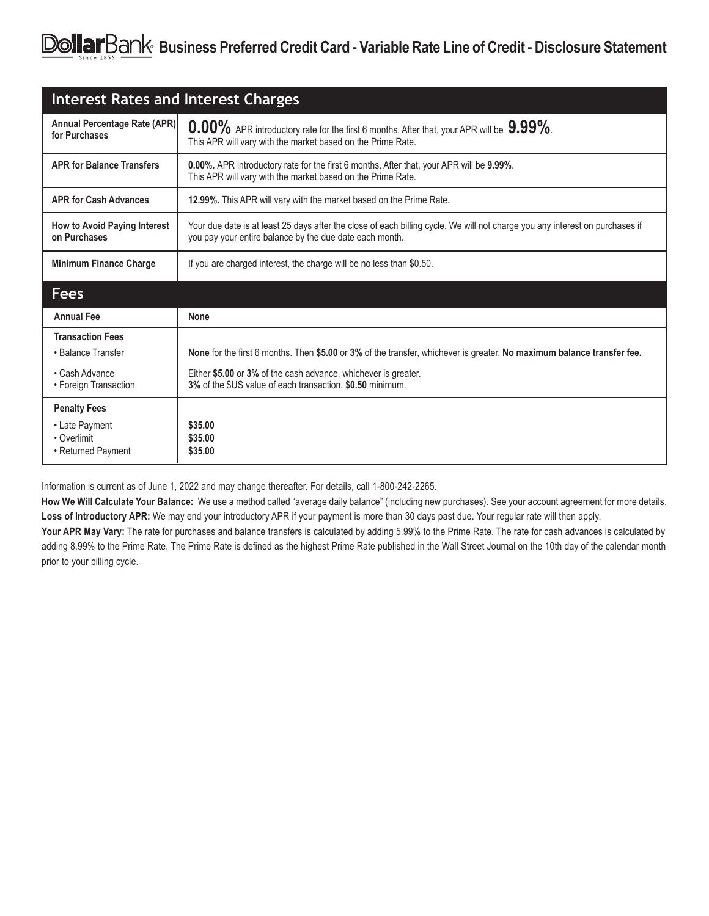| <b>Interest Rates and Interest Charges</b>    |                                                                                                                                                                                         |
|-----------------------------------------------|-----------------------------------------------------------------------------------------------------------------------------------------------------------------------------------------|
| Annual Percentage Rate (APR)<br>for Purchases | $0.00\%$ APR introductory rate for the first 6 months. After that, your APR will be $9.99\%$ .<br>This APR will vary with the market based on the Prime Rate.                           |
| <b>APR for Balance Transfers</b>              | <b>0.00%.</b> APR introductory rate for the first 6 months. After that, your APR will be 9.99%.<br>This APR will vary with the market based on the Prime Rate.                          |
| <b>APR for Cash Advances</b>                  | 12.99%. This APR will vary with the market based on the Prime Rate.                                                                                                                     |
| How to Avoid Paying Interest<br>on Purchases  | Your due date is at least 25 days after the close of each billing cycle. We will not charge you any interest on purchases if<br>you pay your entire balance by the due date each month. |
| <b>Minimum Finance Charge</b>                 | If you are charged interest, the charge will be no less than \$0.50.                                                                                                                    |
|                                               |                                                                                                                                                                                         |
| <b>Fees</b>                                   |                                                                                                                                                                                         |
| <b>Annual Fee</b>                             | <b>None</b>                                                                                                                                                                             |
| <b>Transaction Fees</b>                       |                                                                                                                                                                                         |
| • Balance Transfer                            | None for the first 6 months. Then \$5.00 or 3% of the transfer, whichever is greater. No maximum balance transfer fee.                                                                  |
| • Cash Advance<br>• Foreign Transaction       | Either \$5.00 or 3% of the cash advance, whichever is greater.<br>3% of the \$US value of each transaction. \$0.50 minimum.                                                             |
| <b>Penalty Fees</b>                           |                                                                                                                                                                                         |
| • Late Payment<br>• Overlimit                 | \$35.00<br>\$35.00                                                                                                                                                                      |

Information is current as of June 1, 2022 and may change thereafter. For details, call 1-800-242-2265.

**How We Will Calculate Your Balance:** We use a method called "average daily balance" (including new purchases). See your account agreement for more details. **Loss of Introductory APR:** We may end your introductory APR if your payment is more than 30 days past due. Your regular rate will then apply.

Your APR May Vary: The rate for purchases and balance transfers is calculated by adding 5.99% to the Prime Rate. The rate for cash advances is calculated by adding 8.99% to the Prime Rate. The Prime Rate is defined as the highest Prime Rate published in the Wall Street Journal on the 10th day of the calendar month prior to your billing cycle.